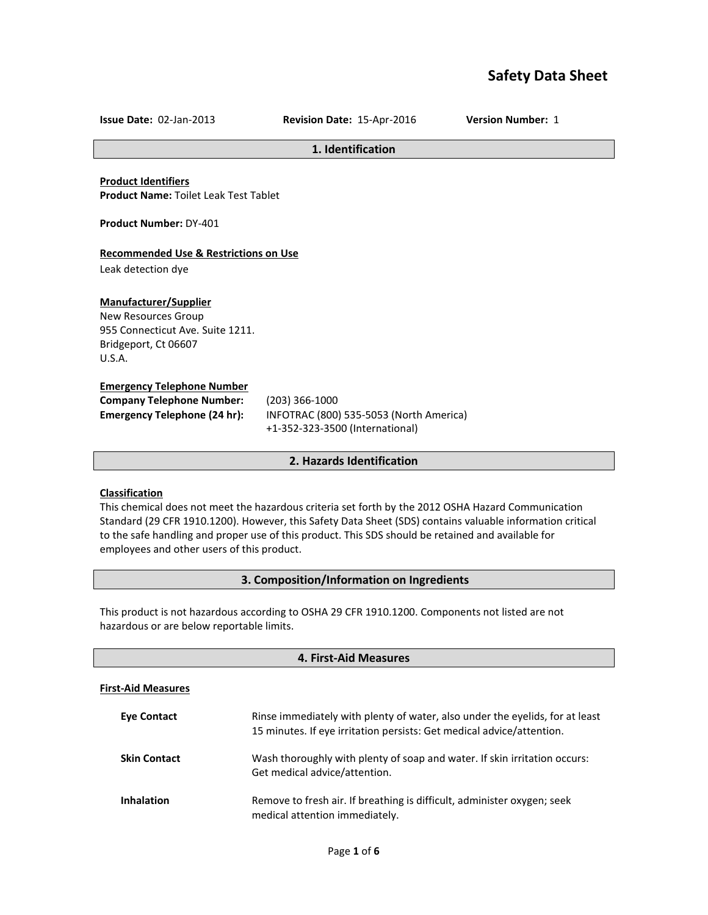# **Safety Data Sheet**

**Issue Date:** 02-Jan-2013 **Revision Date:** 15-Apr-2016 **Version Number:** 1

#### **1. Identification**

**Product Identifiers Product Name:** Toilet Leak Test Tablet

**Product Number:** DY-401

# **Recommended Use & Restrictions on Use**

Leak detection dye

# **Manufacturer/Supplier**

New Resources Group 955 Connecticut Ave. Suite 1211. Bridgeport, Ct 06607 U.S.A.

#### **Emergency Telephone Number**

| <b>Company Telephone Number:</b>    |  |
|-------------------------------------|--|
| <b>Emergency Telephone (24 hr):</b> |  |

**Company Telephone Number:** (203) 366-1000 **Emergency Telephone (24 hr):** INFOTRAC (800) 535-5053 (North America) +1-352-323-3500 (International)

# **2. Hazards Identification**

# **Classification**

This chemical does not meet the hazardous criteria set forth by the 2012 OSHA Hazard Communication Standard (29 CFR 1910.1200). However, this Safety Data Sheet (SDS) contains valuable information critical to the safe handling and proper use of this product. This SDS should be retained and available for employees and other users of this product.

# **3. Composition/Information on Ingredients**

This product is not hazardous according to OSHA 29 CFR 1910.1200. Components not listed are not hazardous or are below reportable limits.

| 4. First-Aid Measures     |                                                                                                                                                       |
|---------------------------|-------------------------------------------------------------------------------------------------------------------------------------------------------|
| <b>First-Aid Measures</b> |                                                                                                                                                       |
| <b>Eve Contact</b>        | Rinse immediately with plenty of water, also under the eyelids, for at least<br>15 minutes. If eye irritation persists: Get medical advice/attention. |
| <b>Skin Contact</b>       | Wash thoroughly with plenty of soap and water. If skin irritation occurs:<br>Get medical advice/attention.                                            |
| <b>Inhalation</b>         | Remove to fresh air. If breathing is difficult, administer oxygen; seek<br>medical attention immediately.                                             |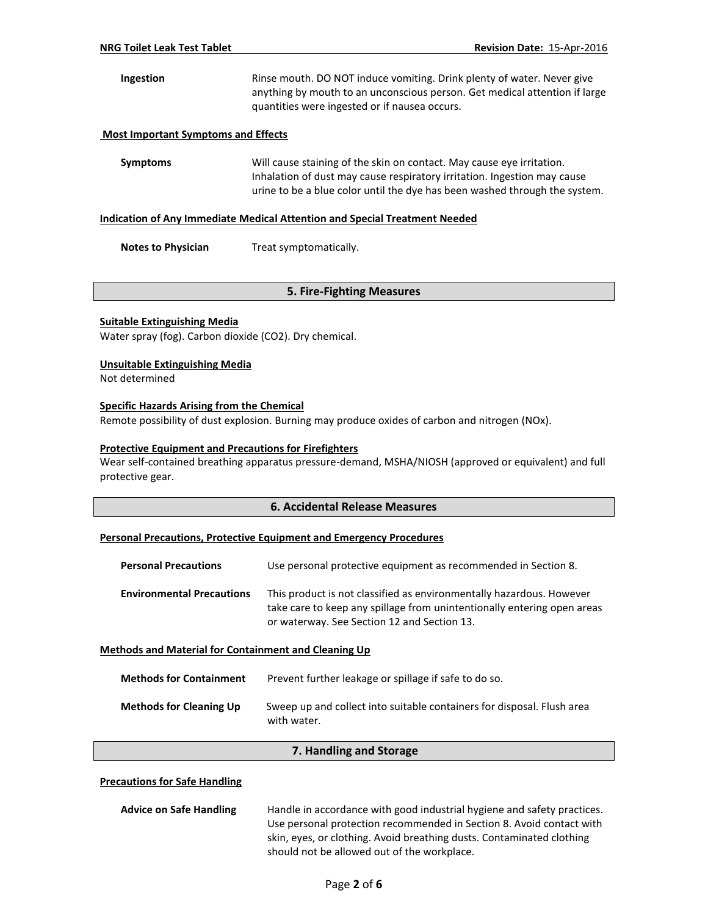# **Ingestion** Rinse mouth. DO NOT induce vomiting. Drink plenty of water. Never give anything by mouth to an unconscious person. Get medical attention if large quantities were ingested or if nausea occurs.

# **Most Important Symptoms and Effects**

**Symptoms** Will cause staining of the skin on contact. May cause eye irritation. Inhalation of dust may cause respiratory irritation. Ingestion may cause urine to be a blue color until the dye has been washed through the system.

#### **Indication of Any Immediate Medical Attention and Special Treatment Needed**

**Notes to Physician** Treat symptomatically.

# **5. Fire-Fighting Measures**

# **Suitable Extinguishing Media**

Water spray (fog). Carbon dioxide (CO2). Dry chemical.

# **Unsuitable Extinguishing Media**

Not determined

# **Specific Hazards Arising from the Chemical**

Remote possibility of dust explosion. Burning may produce oxides of carbon and nitrogen (NOx).

# **Protective Equipment and Precautions for Firefighters**

Wear self-contained breathing apparatus pressure-demand, MSHA/NIOSH (approved or equivalent) and full protective gear.

# **6. Accidental Release Measures**

#### **Personal Precautions, Protective Equipment and Emergency Procedures**

| <b>Personal Precautions</b>      | Use personal protective equipment as recommended in Section 8.                                                                                                                                 |
|----------------------------------|------------------------------------------------------------------------------------------------------------------------------------------------------------------------------------------------|
| <b>Environmental Precautions</b> | This product is not classified as environmentally hazardous. However<br>take care to keep any spillage from unintentionally entering open areas<br>or waterway. See Section 12 and Section 13. |

#### **Methods and Material for Containment and Cleaning Up**

| <b>Methods for Containment</b> | Prevent further leakage or spillage if safe to do so.                                 |
|--------------------------------|---------------------------------------------------------------------------------------|
| <b>Methods for Cleaning Up</b> | Sweep up and collect into suitable containers for disposal. Flush area<br>with water. |

#### **7. Handling and Storage**

#### **Precautions for Safe Handling**

| <b>Advice on Safe Handling</b>                                        | Handle in accordance with good industrial hygiene and safety practices. |  |
|-----------------------------------------------------------------------|-------------------------------------------------------------------------|--|
|                                                                       | Use personal protection recommended in Section 8. Avoid contact with    |  |
| skin, eyes, or clothing. Avoid breathing dusts. Contaminated clothing |                                                                         |  |
|                                                                       | should not be allowed out of the workplace.                             |  |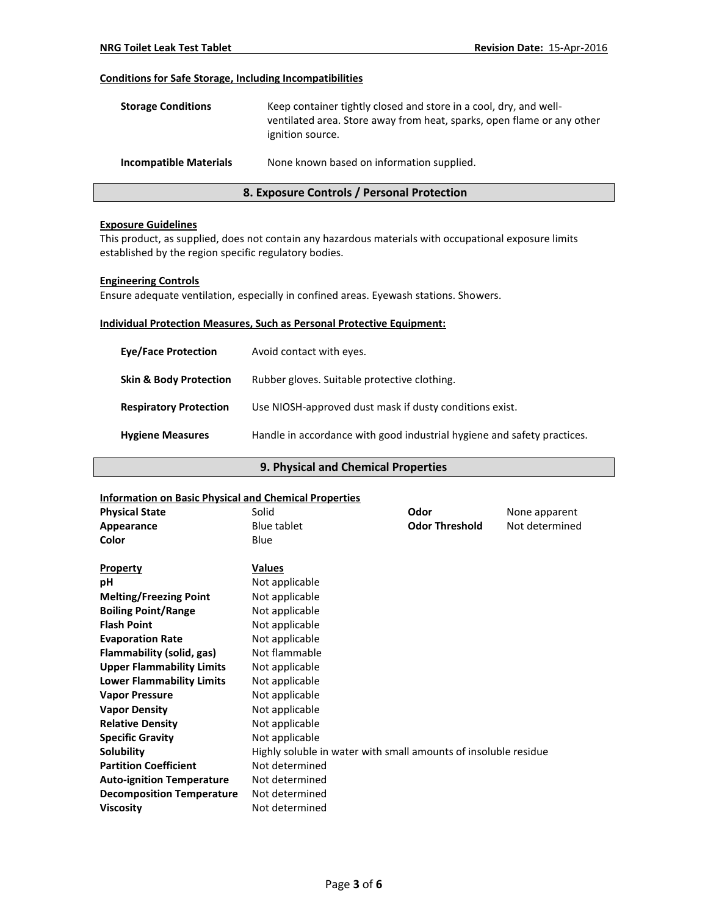# **Conditions for Safe Storage, Including Incompatibilities**

| <b>Storage Conditions</b>     | Keep container tightly closed and store in a cool, dry, and well-<br>ventilated area. Store away from heat, sparks, open flame or any other<br>ignition source. |
|-------------------------------|-----------------------------------------------------------------------------------------------------------------------------------------------------------------|
| <b>Incompatible Materials</b> | None known based on information supplied.                                                                                                                       |

# **8. Exposure Controls / Personal Protection**

#### **Exposure Guidelines**

This product, as supplied, does not contain any hazardous materials with occupational exposure limits established by the region specific regulatory bodies.

# **Engineering Controls**

Ensure adequate ventilation, especially in confined areas. Eyewash stations. Showers.

# **Individual Protection Measures, Such as Personal Protective Equipment:**

| <b>Eve/Face Protection</b>        | Avoid contact with eyes.                                                |
|-----------------------------------|-------------------------------------------------------------------------|
| <b>Skin &amp; Body Protection</b> | Rubber gloves. Suitable protective clothing.                            |
| <b>Respiratory Protection</b>     | Use NIOSH-approved dust mask if dusty conditions exist.                 |
| <b>Hygiene Measures</b>           | Handle in accordance with good industrial hygiene and safety practices. |

# **9. Physical and Chemical Properties**

| <b>Information on Basic Physical and Chemical Properties</b> |                                                                 |                       |                |
|--------------------------------------------------------------|-----------------------------------------------------------------|-----------------------|----------------|
| <b>Physical State</b>                                        | Solid                                                           | Odor                  | None apparent  |
| Appearance                                                   | <b>Blue tablet</b>                                              | <b>Odor Threshold</b> | Not determined |
| Color                                                        | Blue                                                            |                       |                |
|                                                              |                                                                 |                       |                |
| <b>Property</b>                                              | <b>Values</b>                                                   |                       |                |
| рH                                                           | Not applicable                                                  |                       |                |
| <b>Melting/Freezing Point</b>                                | Not applicable                                                  |                       |                |
| <b>Boiling Point/Range</b>                                   | Not applicable                                                  |                       |                |
| <b>Flash Point</b>                                           | Not applicable                                                  |                       |                |
| <b>Evaporation Rate</b>                                      | Not applicable                                                  |                       |                |
| Flammability (solid, gas)                                    | Not flammable                                                   |                       |                |
| <b>Upper Flammability Limits</b>                             | Not applicable                                                  |                       |                |
| <b>Lower Flammability Limits</b>                             | Not applicable                                                  |                       |                |
| <b>Vapor Pressure</b>                                        | Not applicable                                                  |                       |                |
| <b>Vapor Density</b>                                         | Not applicable                                                  |                       |                |
| <b>Relative Density</b>                                      | Not applicable                                                  |                       |                |
| <b>Specific Gravity</b>                                      | Not applicable                                                  |                       |                |
| Solubility                                                   | Highly soluble in water with small amounts of insoluble residue |                       |                |
| <b>Partition Coefficient</b>                                 | Not determined                                                  |                       |                |
| <b>Auto-ignition Temperature</b>                             | Not determined                                                  |                       |                |
| <b>Decomposition Temperature</b>                             | Not determined                                                  |                       |                |
| <b>Viscosity</b>                                             | Not determined                                                  |                       |                |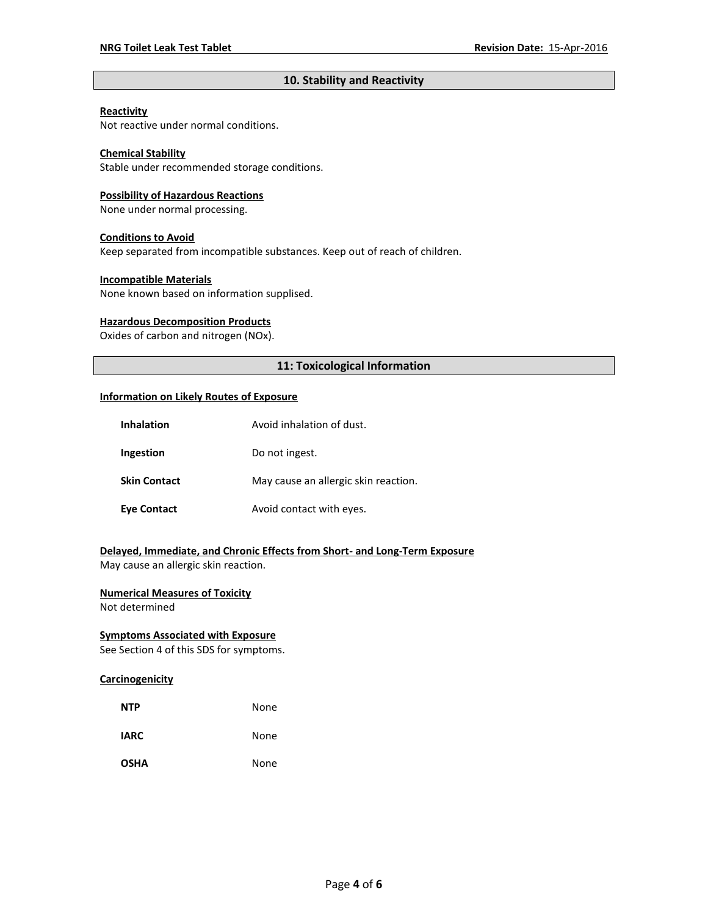# **10. Stability and Reactivity**

#### **Reactivity**

Not reactive under normal conditions.

# **Chemical Stability**

Stable under recommended storage conditions.

#### **Possibility of Hazardous Reactions**

None under normal processing.

#### **Conditions to Avoid**

Keep separated from incompatible substances. Keep out of reach of children.

#### **Incompatible Materials**

None known based on information supplised.

#### **Hazardous Decomposition Products**

Oxides of carbon and nitrogen (NOx).

# **11: Toxicological Information**

#### **Information on Likely Routes of Exposure**

| <b>Inhalation</b>   | Avoid inhalation of dust.            |  |
|---------------------|--------------------------------------|--|
| Ingestion           | Do not ingest.                       |  |
| <b>Skin Contact</b> | May cause an allergic skin reaction. |  |
| <b>Eye Contact</b>  | Avoid contact with eyes.             |  |

# **Delayed, Immediate, and Chronic Effects from Short- and Long-Term Exposure**

May cause an allergic skin reaction.

# **Numerical Measures of Toxicity**

Not determined

# **Symptoms Associated with Exposure**

See Section 4 of this SDS for symptoms.

# **Carcinogenicity**

| <b>NTP</b>  | None |
|-------------|------|
| <b>IARC</b> | None |
| <b>OSHA</b> | None |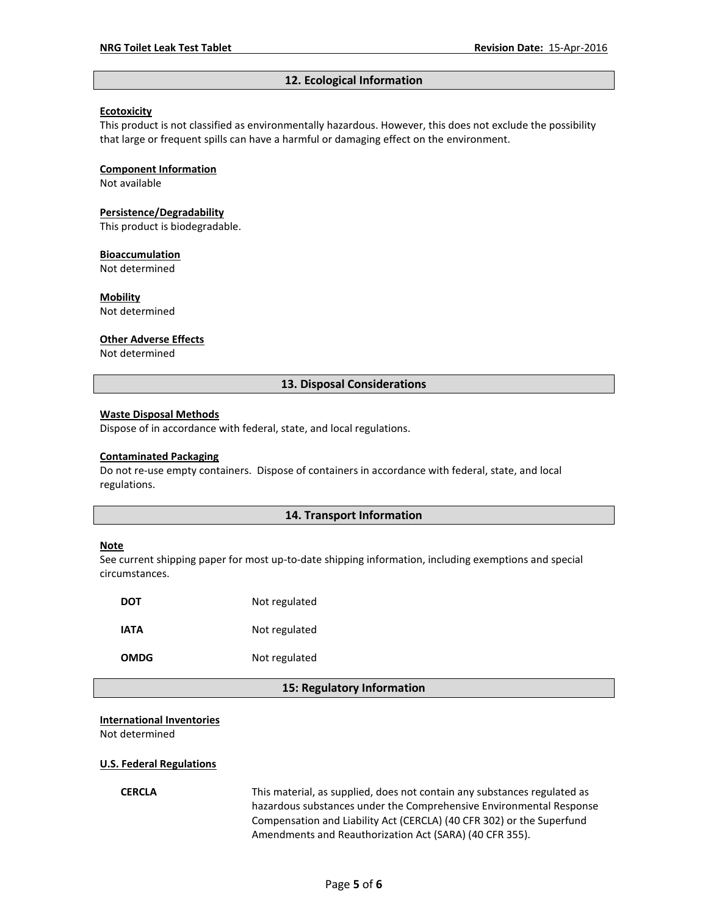#### **12. Ecological Information**

#### **Ecotoxicity**

This product is not classified as environmentally hazardous. However, this does not exclude the possibility that large or frequent spills can have a harmful or damaging effect on the environment.

#### **Component Information**

Not available

#### **Persistence/Degradability**

This product is biodegradable.

#### **Bioaccumulation**

Not determined

#### **Mobility**

Not determined

#### **Other Adverse Effects**

Not determined

#### **13. Disposal Considerations**

#### **Waste Disposal Methods**

Dispose of in accordance with federal, state, and local regulations.

#### **Contaminated Packaging**

Do not re-use empty containers.Dispose of containers in accordance with federal, state, and local regulations.

#### **14. Transport Information**

#### **Note**

See current shipping paper for most up-to-date shipping information, including exemptions and special circumstances.

| DOT  | Not regulated |
|------|---------------|
| IATA | Not regulated |
| OMDG | Not regulated |

#### **15: Regulatory Information**

#### **International Inventories**

Not determined

#### **U.S. Federal Regulations**

**CERCLA** This material, as supplied, does not contain any substances regulated as hazardous substances under the Comprehensive Environmental Response Compensation and Liability Act (CERCLA) (40 CFR 302) or the Superfund Amendments and Reauthorization Act (SARA) (40 CFR 355).